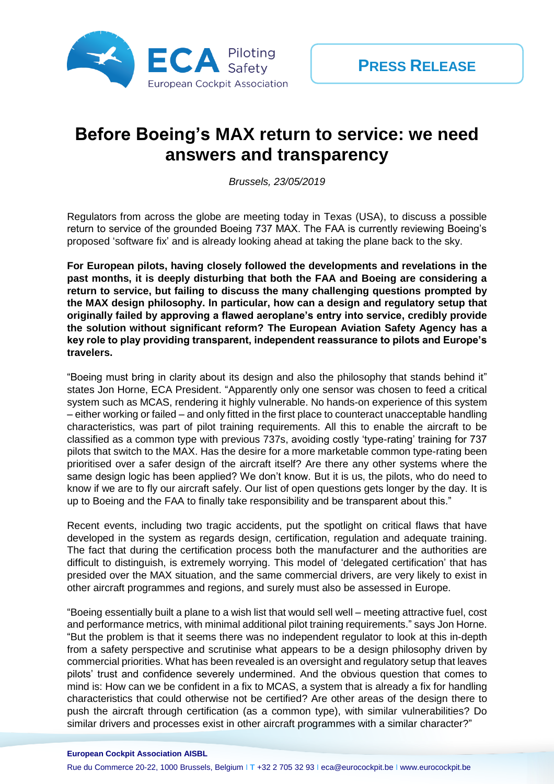

## **Before Boeing's MAX return to service: we need answers and transparency**

*Brussels, 23/05/2019*

Regulators from across the globe are meeting today in Texas (USA), to discuss a possible return to service of the grounded Boeing 737 MAX. The FAA is currently reviewing Boeing's proposed 'software fix' and is already looking ahead at taking the plane back to the sky.

**For European pilots, having closely followed the developments and revelations in the past months, it is deeply disturbing that both the FAA and Boeing are considering a return to service, but failing to discuss the many challenging questions prompted by the MAX design philosophy. ln particular, how can a design and regulatory setup that originally failed by approving a flawed aeroplane's entry into service, credibly provide the solution without significant reform? The European Aviation Safety Agency has a key role to play providing transparent, independent reassurance to pilots and Europe's travelers.**

"Boeing must bring in clarity about its design and also the philosophy that stands behind it" states Jon Horne, ECA President. "Apparently only one sensor was chosen to feed a critical system such as MCAS, rendering it highly vulnerable. No hands-on experience of this system – either working or failed – and only fitted in the first place to counteract unacceptable handling characteristics, was part of pilot training requirements. All this to enable the aircraft to be classified as a common type with previous 737s, avoiding costly 'type-rating' training for 737 pilots that switch to the MAX. Has the desire for a more marketable common type-rating been prioritised over a safer design of the aircraft itself? Are there any other systems where the same design logic has been applied? We don't know. But it is us, the pilots, who do need to know if we are to fly our aircraft safely. Our list of open questions gets longer by the day. It is up to Boeing and the FAA to finally take responsibility and be transparent about this."

Recent events, including two tragic accidents, put the spotlight on critical flaws that have developed in the system as regards design, certification, regulation and adequate training. The fact that during the certification process both the manufacturer and the authorities are difficult to distinguish, is extremely worrying. This model of 'delegated certification' that has presided over the MAX situation, and the same commercial drivers, are very likely to exist in other aircraft programmes and regions, and surely must also be assessed in Europe.

"Boeing essentially built a plane to a wish list that would sell well – meeting attractive fuel, cost and performance metrics, with minimal additional pilot training requirements." says Jon Horne. "But the problem is that it seems there was no independent regulator to look at this in-depth from a safety perspective and scrutinise what appears to be a design philosophy driven by commercial priorities. What has been revealed is an oversight and regulatory setup that leaves pilots' trust and confidence severely undermined. And the obvious question that comes to mind is: How can we be confident in a fix to MCAS, a system that is already a fix for handling characteristics that could otherwise not be certified? Are other areas of the design there to push the aircraft through certification (as a common type), with similar vulnerabilities? Do similar drivers and processes exist in other aircraft programmes with a similar character?"

**European Cockpit Association AISBL**

Rue du Commerce 20-22, 1000 Brussels, Belgium I **T** +32 2 705 32 93 I eca@eurocockpit.be I www.eurocockpit.be